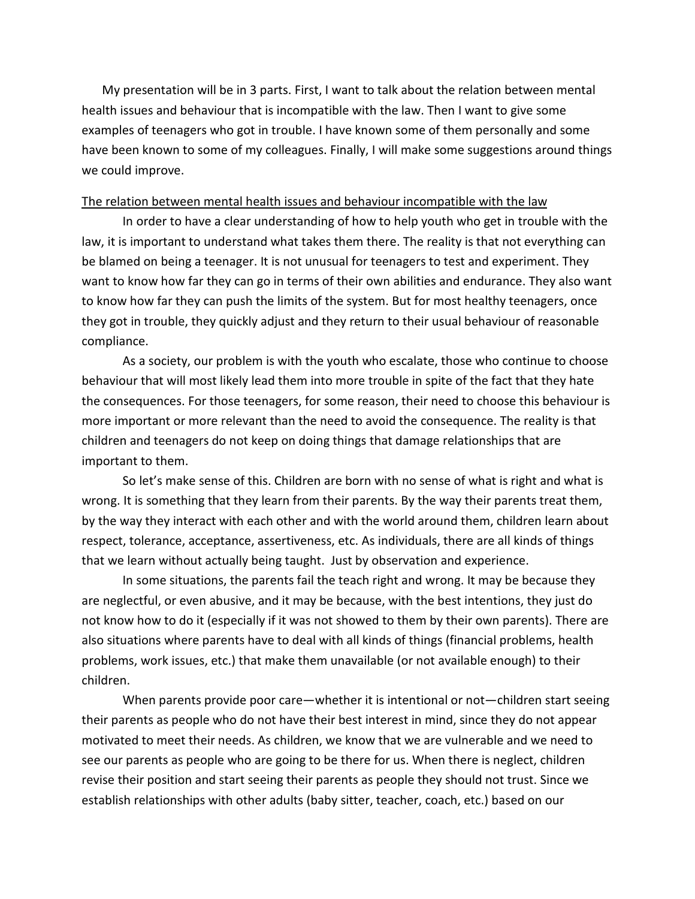My presentation will be in 3 parts. First, I want to talk about the relation between mental health issues and behaviour that is incompatible with the law. Then I want to give some examples of teenagers who got in trouble. I have known some of them personally and some have been known to some of my colleagues. Finally, I will make some suggestions around things we could improve.

#### The relation between mental health issues and behaviour incompatible with the law

In order to have a clear understanding of how to help youth who get in trouble with the law, it is important to understand what takes them there. The reality is that not everything can be blamed on being a teenager. It is not unusual for teenagers to test and experiment. They want to know how far they can go in terms of their own abilities and endurance. They also want to know how far they can push the limits of the system. But for most healthy teenagers, once they got in trouble, they quickly adjust and they return to their usual behaviour of reasonable compliance.

As a society, our problem is with the youth who escalate, those who continue to choose behaviour that will most likely lead them into more trouble in spite of the fact that they hate the consequences. For those teenagers, for some reason, their need to choose this behaviour is more important or more relevant than the need to avoid the consequence. The reality is that children and teenagers do not keep on doing things that damage relationships that are important to them.

So let's make sense of this. Children are born with no sense of what is right and what is wrong. It is something that they learn from their parents. By the way their parents treat them, by the way they interact with each other and with the world around them, children learn about respect, tolerance, acceptance, assertiveness, etc. As individuals, there are all kinds of things that we learn without actually being taught. Just by observation and experience.

In some situations, the parents fail the teach right and wrong. It may be because they are neglectful, or even abusive, and it may be because, with the best intentions, they just do not know how to do it (especially if it was not showed to them by their own parents). There are also situations where parents have to deal with all kinds of things (financial problems, health problems, work issues, etc.) that make them unavailable (or not available enough) to their children.

When parents provide poor care—whether it is intentional or not—children start seeing their parents as people who do not have their best interest in mind, since they do not appear motivated to meet their needs. As children, we know that we are vulnerable and we need to see our parents as people who are going to be there for us. When there is neglect, children revise their position and start seeing their parents as people they should not trust. Since we establish relationships with other adults (baby sitter, teacher, coach, etc.) based on our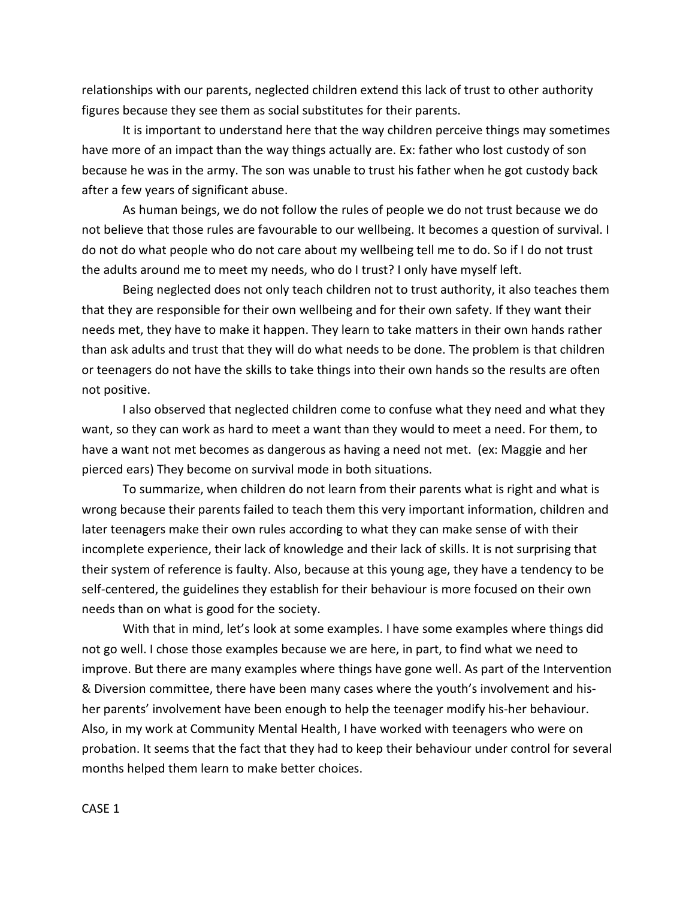relationships with our parents, neglected children extend this lack of trust to other authority figures because they see them as social substitutes for their parents.

It is important to understand here that the way children perceive things may sometimes have more of an impact than the way things actually are. Ex: father who lost custody of son because he was in the army. The son was unable to trust his father when he got custody back after a few years of significant abuse.

As human beings, we do not follow the rules of people we do not trust because we do not believe that those rules are favourable to our wellbeing. It becomes a question of survival. I do not do what people who do not care about my wellbeing tell me to do. So if I do not trust the adults around me to meet my needs, who do I trust? I only have myself left.

Being neglected does not only teach children not to trust authority, it also teaches them that they are responsible for their own wellbeing and for their own safety. If they want their needs met, they have to make it happen. They learn to take matters in their own hands rather than ask adults and trust that they will do what needs to be done. The problem is that children or teenagers do not have the skills to take things into their own hands so the results are often not positive.

I also observed that neglected children come to confuse what they need and what they want, so they can work as hard to meet a want than they would to meet a need. For them, to have a want not met becomes as dangerous as having a need not met. (ex: Maggie and her pierced ears) They become on survival mode in both situations.

To summarize, when children do not learn from their parents what is right and what is wrong because their parents failed to teach them this very important information, children and later teenagers make their own rules according to what they can make sense of with their incomplete experience, their lack of knowledge and their lack of skills. It is not surprising that their system of reference is faulty. Also, because at this young age, they have a tendency to be self-centered, the guidelines they establish for their behaviour is more focused on their own needs than on what is good for the society.

With that in mind, let's look at some examples. I have some examples where things did not go well. I chose those examples because we are here, in part, to find what we need to improve. But there are many examples where things have gone well. As part of the Intervention & Diversion committee, there have been many cases where the youth's involvement and hisher parents' involvement have been enough to help the teenager modify his-her behaviour. Also, in my work at Community Mental Health, I have worked with teenagers who were on probation. It seems that the fact that they had to keep their behaviour under control for several months helped them learn to make better choices.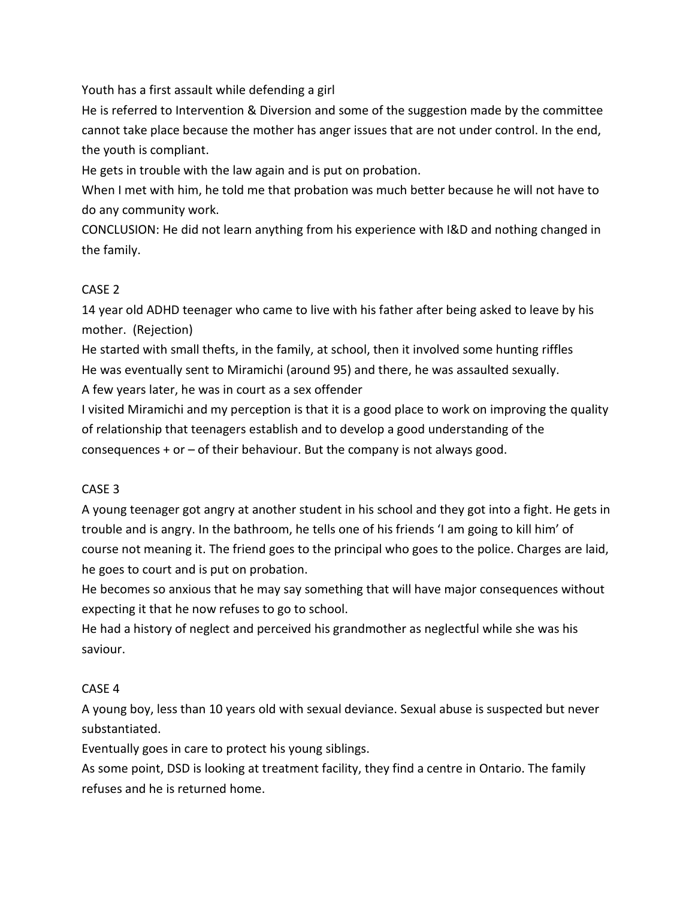Youth has a first assault while defending a girl

He is referred to Intervention & Diversion and some of the suggestion made by the committee cannot take place because the mother has anger issues that are not under control. In the end, the youth is compliant.

He gets in trouble with the law again and is put on probation.

When I met with him, he told me that probation was much better because he will not have to do any community work.

CONCLUSION: He did not learn anything from his experience with I&D and nothing changed in the family.

## CASE 2

14 year old ADHD teenager who came to live with his father after being asked to leave by his mother. (Rejection)

He started with small thefts, in the family, at school, then it involved some hunting riffles He was eventually sent to Miramichi (around 95) and there, he was assaulted sexually.

A few years later, he was in court as a sex offender

I visited Miramichi and my perception is that it is a good place to work on improving the quality of relationship that teenagers establish and to develop a good understanding of the consequences  $+$  or  $-$  of their behaviour. But the company is not always good.

# CASE 3

A young teenager got angry at another student in his school and they got into a fight. He gets in trouble and is angry. In the bathroom, he tells one of his friends 'I am going to kill him' of course not meaning it. The friend goes to the principal who goes to the police. Charges are laid, he goes to court and is put on probation.

He becomes so anxious that he may say something that will have major consequences without expecting it that he now refuses to go to school.

He had a history of neglect and perceived his grandmother as neglectful while she was his saviour.

# CASE 4

A young boy, less than 10 years old with sexual deviance. Sexual abuse is suspected but never substantiated.

Eventually goes in care to protect his young siblings.

As some point, DSD is looking at treatment facility, they find a centre in Ontario. The family refuses and he is returned home.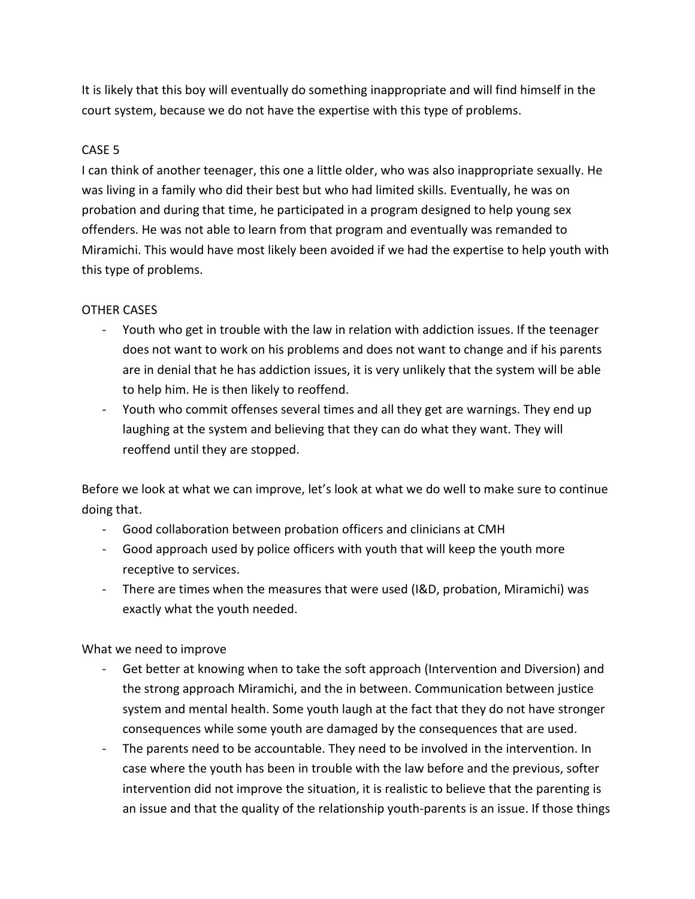It is likely that this boy will eventually do something inappropriate and will find himself in the court system, because we do not have the expertise with this type of problems.

### CASE 5

I can think of another teenager, this one a little older, who was also inappropriate sexually. He was living in a family who did their best but who had limited skills. Eventually, he was on probation and during that time, he participated in a program designed to help young sex offenders. He was not able to learn from that program and eventually was remanded to Miramichi. This would have most likely been avoided if we had the expertise to help youth with this type of problems.

#### OTHER CASES

- Youth who get in trouble with the law in relation with addiction issues. If the teenager does not want to work on his problems and does not want to change and if his parents are in denial that he has addiction issues, it is very unlikely that the system will be able to help him. He is then likely to reoffend.
- Youth who commit offenses several times and all they get are warnings. They end up laughing at the system and believing that they can do what they want. They will reoffend until they are stopped.

Before we look at what we can improve, let's look at what we do well to make sure to continue doing that.

- Good collaboration between probation officers and clinicians at CMH
- Good approach used by police officers with youth that will keep the youth more receptive to services.
- There are times when the measures that were used (I&D, probation, Miramichi) was exactly what the youth needed.

What we need to improve

- Get better at knowing when to take the soft approach (Intervention and Diversion) and the strong approach Miramichi, and the in between. Communication between justice system and mental health. Some youth laugh at the fact that they do not have stronger consequences while some youth are damaged by the consequences that are used.
- The parents need to be accountable. They need to be involved in the intervention. In case where the youth has been in trouble with the law before and the previous, softer intervention did not improve the situation, it is realistic to believe that the parenting is an issue and that the quality of the relationship youth-parents is an issue. If those things